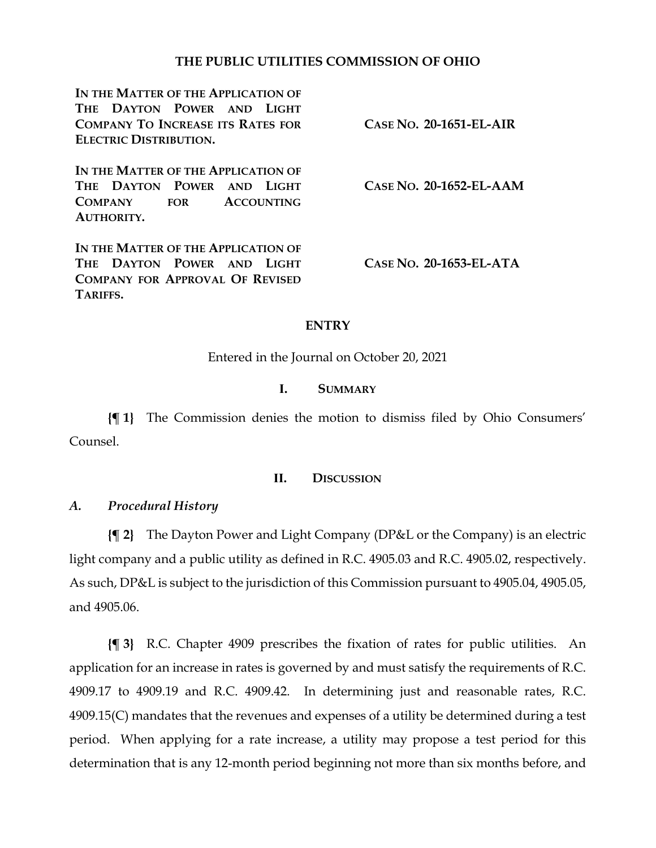## **THE PUBLIC UTILITIES COMMISSION OF OHIO**

**IN THE MATTER OF THE APPLICATION OF THE DAYTON POWER AND LIGHT COMPANY TO INCREASE ITS RATES FOR ELECTRIC DISTRIBUTION. IN THE MATTER OF THE APPLICATION OF THE DAYTON POWER AND LIGHT COMPANY FOR ACCOUNTING AUTHORITY. IN THE MATTER OF THE APPLICATION OF THE DAYTON POWER AND LIGHT COMPANY FOR APPROVAL OF REVISED TARIFFS. CASE NO. 20-1651-EL-AIR CASE NO. 20-1652-EL-AAM CASE NO. 20-1653-EL-ATA**

## **ENTRY**

Entered in the Journal on October 20, 2021

### **I. SUMMARY**

**{¶ 1}** The Commission denies the motion to dismiss filed by Ohio Consumers' Counsel.

### **II. DISCUSSION**

## *A. Procedural History*

**{¶ 2}** The Dayton Power and Light Company (DP&L or the Company) is an electric light company and a public utility as defined in R.C. 4905.03 and R.C. 4905.02, respectively. As such, DP&L is subject to the jurisdiction of this Commission pursuant to 4905.04, 4905.05, and 4905.06.

**{¶ 3}** R.C. Chapter 4909 prescribes the fixation of rates for public utilities. An application for an increase in rates is governed by and must satisfy the requirements of R.C. 4909.17 to 4909.19 and R.C. 4909.42. In determining just and reasonable rates, R.C. 4909.15(C) mandates that the revenues and expenses of a utility be determined during a test period. When applying for a rate increase, a utility may propose a test period for this determination that is any 12-month period beginning not more than six months before, and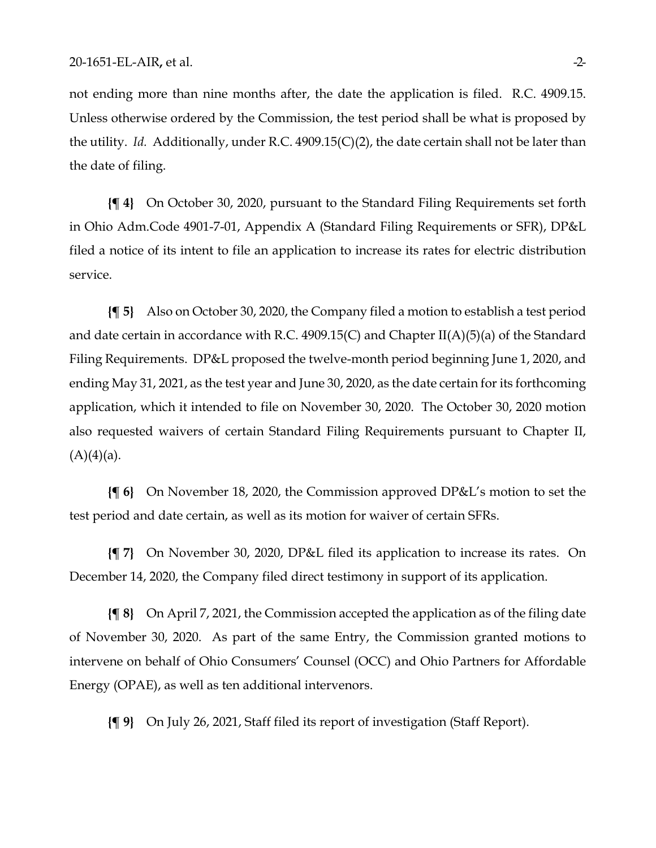not ending more than nine months after, the date the application is filed. R.C. 4909.15. Unless otherwise ordered by the Commission, the test period shall be what is proposed by the utility. *Id.* Additionally, under R.C. 4909.15(C)(2), the date certain shall not be later than the date of filing.

**{¶ 4}** On October 30, 2020, pursuant to the Standard Filing Requirements set forth in Ohio Adm.Code 4901-7-01, Appendix A (Standard Filing Requirements or SFR), DP&L filed a notice of its intent to file an application to increase its rates for electric distribution service.

**{¶ 5}** Also on October 30, 2020, the Company filed a motion to establish a test period and date certain in accordance with R.C. 4909.15(C) and Chapter II(A)(5)(a) of the Standard Filing Requirements. DP&L proposed the twelve-month period beginning June 1, 2020, and ending May 31, 2021, as the test year and June 30, 2020, as the date certain for its forthcoming application, which it intended to file on November 30, 2020. The October 30, 2020 motion also requested waivers of certain Standard Filing Requirements pursuant to Chapter II,  $(A)(4)(a)$ .

**{¶ 6}** On November 18, 2020, the Commission approved DP&L's motion to set the test period and date certain, as well as its motion for waiver of certain SFRs.

**{¶ 7}** On November 30, 2020, DP&L filed its application to increase its rates. On December 14, 2020, the Company filed direct testimony in support of its application.

**{¶ 8}** On April 7, 2021, the Commission accepted the application as of the filing date of November 30, 2020. As part of the same Entry, the Commission granted motions to intervene on behalf of Ohio Consumers' Counsel (OCC) and Ohio Partners for Affordable Energy (OPAE), as well as ten additional intervenors.

**{¶ 9}** On July 26, 2021, Staff filed its report of investigation (Staff Report).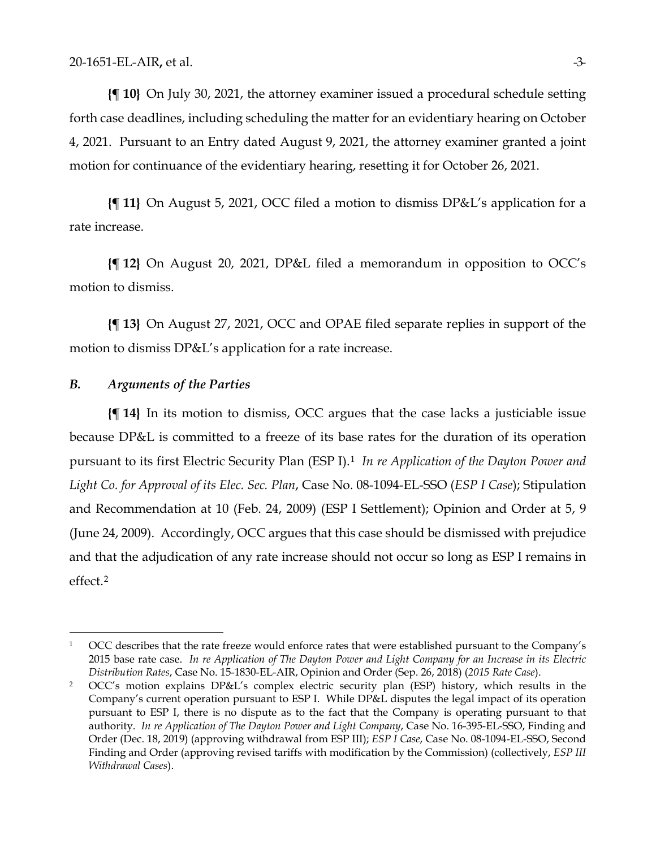**{¶ 10}** On July 30, 2021, the attorney examiner issued a procedural schedule setting forth case deadlines, including scheduling the matter for an evidentiary hearing on October 4, 2021. Pursuant to an Entry dated August 9, 2021, the attorney examiner granted a joint motion for continuance of the evidentiary hearing, resetting it for October 26, 2021.

**{¶ 11}** On August 5, 2021, OCC filed a motion to dismiss DP&L's application for a rate increase.

**{¶ 12}** On August 20, 2021, DP&L filed a memorandum in opposition to OCC's motion to dismiss.

**{¶ 13}** On August 27, 2021, OCC and OPAE filed separate replies in support of the motion to dismiss DP&L's application for a rate increase.

#### *B. Arguments of the Parties*

**{¶ 14}** In its motion to dismiss, OCC argues that the case lacks a justiciable issue because DP&L is committed to a freeze of its base rates for the duration of its operation pursuant to its first Electric Security Plan (ESP I).[1](#page-2-1) *In re Application of the Dayton Power and Light Co. for Approval of its Elec. Sec. Plan*, Case No. 08-1094-EL-SSO (*ESP I Case*); Stipulation and Recommendation at 10 (Feb. 24, 2009) (ESP I Settlement); Opinion and Order at 5, 9 (June 24, 2009). Accordingly, OCC argues that this case should be dismissed with prejudice and that the adjudication of any rate increase should not occur so long as ESP I remains in effect.[2](#page-2-0)

<span id="page-2-1"></span><sup>&</sup>lt;sup>1</sup> OCC describes that the rate freeze would enforce rates that were established pursuant to the Company's 2015 base rate case. *In re Application of The Dayton Power and Light Company for an Increase in its Electric Distribution Rates*, Case No. 15-1830-EL-AIR, Opinion and Order (Sep. 26, 2018) (*2015 Rate Case*). 2 OCC's motion explains DP&L's complex electric security plan (ESP) history, which results in the

<span id="page-2-0"></span>Company's current operation pursuant to ESP I. While DP&L disputes the legal impact of its operation pursuant to ESP I, there is no dispute as to the fact that the Company is operating pursuant to that authority. *In re Application of The Dayton Power and Light Company*, Case No. 16-395-EL-SSO, Finding and Order (Dec. 18, 2019) (approving withdrawal from ESP III); *ESP I Case*, Case No. 08-1094-EL-SSO, Second Finding and Order (approving revised tariffs with modification by the Commission) (collectively, *ESP III Withdrawal Cases*).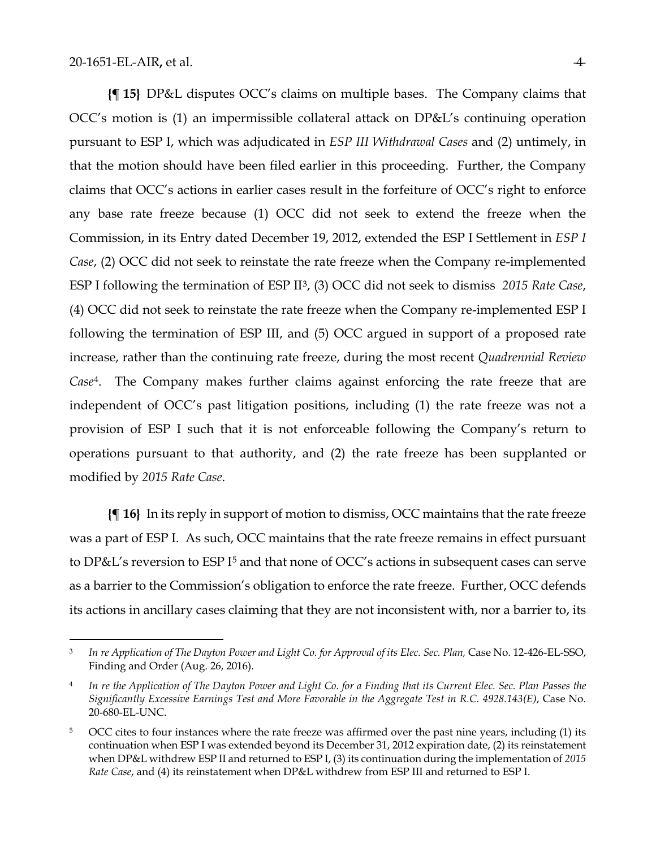**{¶ 15}** DP&L disputes OCC's claims on multiple bases. The Company claims that OCC's motion is (1) an impermissible collateral attack on DP&L's continuing operation pursuant to ESP I, which was adjudicated in *ESP III Withdrawal Cases* and (2) untimely, in that the motion should have been filed earlier in this proceeding. Further, the Company claims that OCC's actions in earlier cases result in the forfeiture of OCC's right to enforce any base rate freeze because (1) OCC did not seek to extend the freeze when the Commission, in its Entry dated December 19, 2012, extended the ESP I Settlement in *ESP I Case*, (2) OCC did not seek to reinstate the rate freeze when the Company re-implemented ESP I following the termination of ESP II[3,](#page-3-2) (3) OCC did not seek to dismiss *2015 Rate Case*, (4) OCC did not seek to reinstate the rate freeze when the Company re-implemented ESP I following the termination of ESP III, and (5) OCC argued in support of a proposed rate increase, rather than the continuing rate freeze, during the most recent *Quadrennial Review Case*[4.](#page-3-1) The Company makes further claims against enforcing the rate freeze that are independent of OCC's past litigation positions, including (1) the rate freeze was not a provision of ESP I such that it is not enforceable following the Company's return to operations pursuant to that authority, and (2) the rate freeze has been supplanted or modified by *2015 Rate Case*.

**{¶ 16}** In its reply in support of motion to dismiss, OCC maintains that the rate freeze was a part of ESP I. As such, OCC maintains that the rate freeze remains in effect pursuant to DP&L's reversion to ESP I<sup>[5](#page-3-0)</sup> and that none of OCC's actions in subsequent cases can serve as a barrier to the Commission's obligation to enforce the rate freeze. Further, OCC defends its actions in ancillary cases claiming that they are not inconsistent with, nor a barrier to, its

<span id="page-3-2"></span><sup>3</sup> *In re Application of The Dayton Power and Light Co. for Approval of its Elec. Sec. Plan,* Case No. 12-426-EL-SSO, Finding and Order (Aug. 26, 2016).

<span id="page-3-1"></span><sup>4</sup> *In re the Application of The Dayton Power and Light Co. for a Finding that its Current Elec. Sec. Plan Passes the Significantly Excessive Earnings Test and More Favorable in the Aggregate Test in R.C. 4928.143(E)*, Case No. 20-680-EL-UNC.

<span id="page-3-0"></span><sup>&</sup>lt;sup>5</sup> OCC cites to four instances where the rate freeze was affirmed over the past nine years, including (1) its continuation when ESP I was extended beyond its December 31, 2012 expiration date, (2) its reinstatement when DP&L withdrew ESP II and returned to ESP I, (3) its continuation during the implementation of *2015 Rate Case*, and (4) its reinstatement when DP&L withdrew from ESP III and returned to ESP I.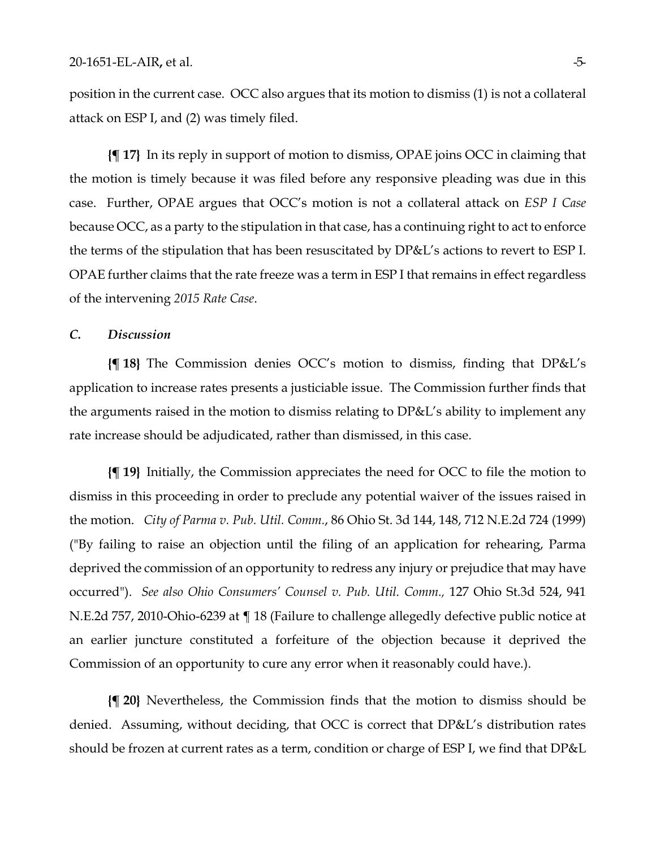position in the current case. OCC also argues that its motion to dismiss (1) is not a collateral attack on ESP I, and (2) was timely filed.

**{¶ 17}** In its reply in support of motion to dismiss, OPAE joins OCC in claiming that the motion is timely because it was filed before any responsive pleading was due in this case. Further, OPAE argues that OCC's motion is not a collateral attack on *ESP I Case* because OCC, as a party to the stipulation in that case, has a continuing right to act to enforce the terms of the stipulation that has been resuscitated by DP&L's actions to revert to ESP I. OPAE further claims that the rate freeze was a term in ESP I that remains in effect regardless of the intervening *2015 Rate Case*.

#### *C. Discussion*

**{¶ 18}** The Commission denies OCC's motion to dismiss, finding that DP&L's application to increase rates presents a justiciable issue. The Commission further finds that the arguments raised in the motion to dismiss relating to DP&L's ability to implement any rate increase should be adjudicated, rather than dismissed, in this case.

**{¶ 19}** Initially, the Commission appreciates the need for OCC to file the motion to dismiss in this proceeding in order to preclude any potential waiver of the issues raised in the motion. *City of Parma v. Pub. Util. Comm.*, 86 Ohio St. 3d 144, 148, 712 N.E.2d 724 (1999) ("By failing to raise an objection until the filing of an application for rehearing, Parma deprived the commission of an opportunity to redress any injury or prejudice that may have occurred"). *See also Ohio Consumers' Counsel v. Pub. Util. Comm.,* 127 Ohio St.3d 524, 941 N.E.2d 757, 2010-Ohio-6239 at ¶ 18 (Failure to challenge allegedly defective public notice at an earlier juncture constituted a forfeiture of the objection because it deprived the Commission of an opportunity to cure any error when it reasonably could have.).

**{¶ 20}** Nevertheless, the Commission finds that the motion to dismiss should be denied. Assuming, without deciding, that OCC is correct that DP&L's distribution rates should be frozen at current rates as a term, condition or charge of ESP I, we find that DP&L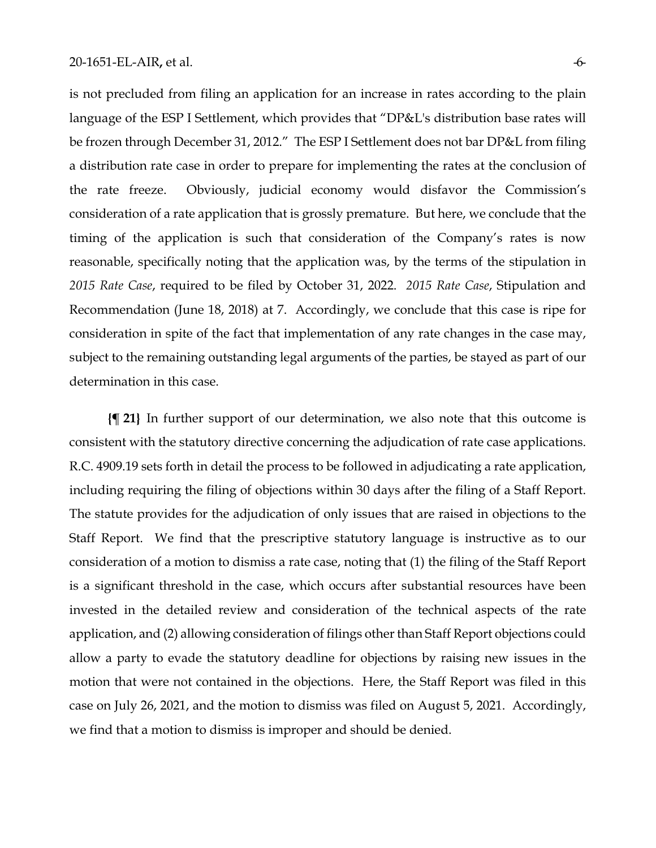is not precluded from filing an application for an increase in rates according to the plain language of the ESP I Settlement, which provides that "DP&L's distribution base rates will be frozen through December 31, 2012." The ESP I Settlement does not bar DP&L from filing a distribution rate case in order to prepare for implementing the rates at the conclusion of the rate freeze. Obviously, judicial economy would disfavor the Commission's consideration of a rate application that is grossly premature. But here, we conclude that the timing of the application is such that consideration of the Company's rates is now reasonable, specifically noting that the application was, by the terms of the stipulation in *2015 Rate Case*, required to be filed by October 31, 2022. *2015 Rate Case*, Stipulation and Recommendation (June 18, 2018) at 7. Accordingly, we conclude that this case is ripe for consideration in spite of the fact that implementation of any rate changes in the case may, subject to the remaining outstanding legal arguments of the parties, be stayed as part of our determination in this case.

**{¶ 21}** In further support of our determination, we also note that this outcome is consistent with the statutory directive concerning the adjudication of rate case applications. R.C. 4909.19 sets forth in detail the process to be followed in adjudicating a rate application, including requiring the filing of objections within 30 days after the filing of a Staff Report. The statute provides for the adjudication of only issues that are raised in objections to the Staff Report. We find that the prescriptive statutory language is instructive as to our consideration of a motion to dismiss a rate case, noting that (1) the filing of the Staff Report is a significant threshold in the case, which occurs after substantial resources have been invested in the detailed review and consideration of the technical aspects of the rate application, and (2) allowing consideration of filings other than Staff Report objections could allow a party to evade the statutory deadline for objections by raising new issues in the motion that were not contained in the objections. Here, the Staff Report was filed in this case on July 26, 2021, and the motion to dismiss was filed on August 5, 2021. Accordingly, we find that a motion to dismiss is improper and should be denied.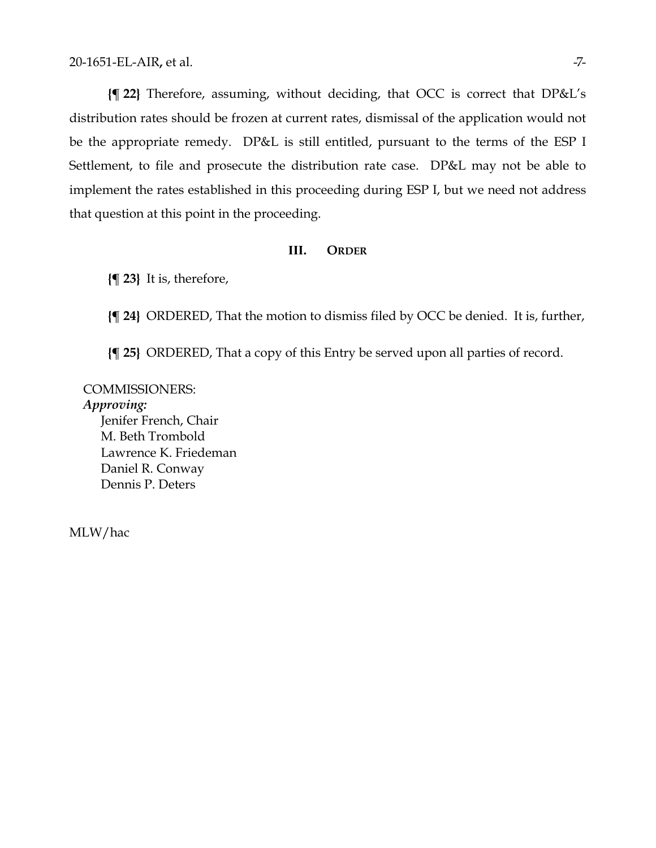**{¶ 22}** Therefore, assuming, without deciding, that OCC is correct that DP&L's distribution rates should be frozen at current rates, dismissal of the application would not be the appropriate remedy. DP&L is still entitled, pursuant to the terms of the ESP I Settlement, to file and prosecute the distribution rate case. DP&L may not be able to implement the rates established in this proceeding during ESP I, but we need not address that question at this point in the proceeding.

#### **III. ORDER**

**{¶ 23}** It is, therefore,

**{¶ 24}** ORDERED, That the motion to dismiss filed by OCC be denied. It is, further,

**{¶ 25}** ORDERED, That a copy of this Entry be served upon all parties of record.

COMMISSIONERS: *Approving:*  Jenifer French, Chair M. Beth Trombold Lawrence K. Friedeman Daniel R. Conway Dennis P. Deters

MLW/hac